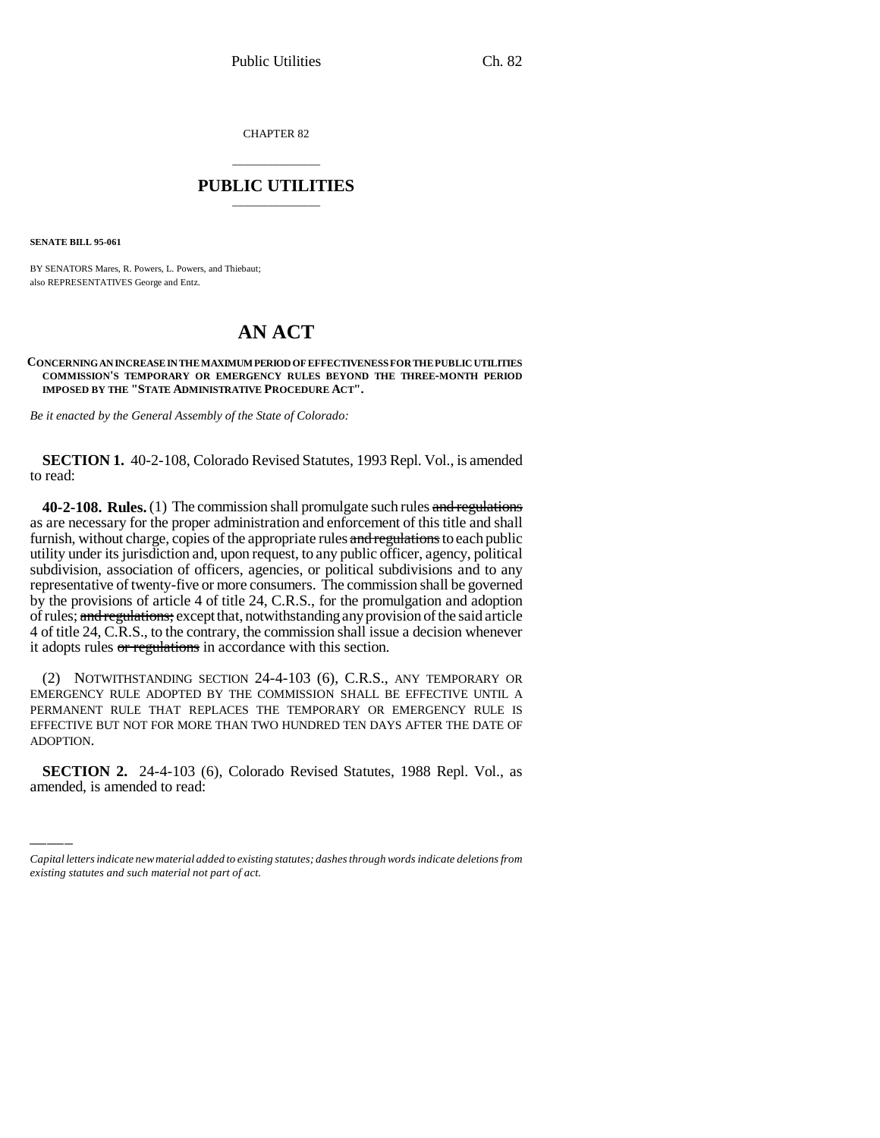CHAPTER 82

## \_\_\_\_\_\_\_\_\_\_\_\_\_\_\_ **PUBLIC UTILITIES** \_\_\_\_\_\_\_\_\_\_\_\_\_\_\_

**SENATE BILL 95-061**

BY SENATORS Mares, R. Powers, L. Powers, and Thiebaut; also REPRESENTATIVES George and Entz.

## **AN ACT**

**CONCERNING AN INCREASE IN THE MAXIMUM PERIOD OF EFFECTIVENESS FOR THE PUBLIC UTILITIES COMMISSION'S TEMPORARY OR EMERGENCY RULES BEYOND THE THREE-MONTH PERIOD IMPOSED BY THE "STATE ADMINISTRATIVE PROCEDURE ACT".**

*Be it enacted by the General Assembly of the State of Colorado:*

**SECTION 1.** 40-2-108, Colorado Revised Statutes, 1993 Repl. Vol., is amended to read:

**40-2-108. Rules.** (1) The commission shall promulgate such rules and regulations as are necessary for the proper administration and enforcement of this title and shall furnish, without charge, copies of the appropriate rules and regulations to each public utility under its jurisdiction and, upon request, to any public officer, agency, political subdivision, association of officers, agencies, or political subdivisions and to any representative of twenty-five or more consumers. The commission shall be governed by the provisions of article 4 of title 24, C.R.S., for the promulgation and adoption of rules; and regulations; except that, notwithstanding any provision of the said article 4 of title 24, C.R.S., to the contrary, the commission shall issue a decision whenever it adopts rules or regulations in accordance with this section.

ADOPTION. (2) NOTWITHSTANDING SECTION 24-4-103 (6), C.R.S., ANY TEMPORARY OR EMERGENCY RULE ADOPTED BY THE COMMISSION SHALL BE EFFECTIVE UNTIL A PERMANENT RULE THAT REPLACES THE TEMPORARY OR EMERGENCY RULE IS EFFECTIVE BUT NOT FOR MORE THAN TWO HUNDRED TEN DAYS AFTER THE DATE OF

**SECTION 2.** 24-4-103 (6), Colorado Revised Statutes, 1988 Repl. Vol., as amended, is amended to read:

*Capital letters indicate new material added to existing statutes; dashes through words indicate deletions from existing statutes and such material not part of act.*